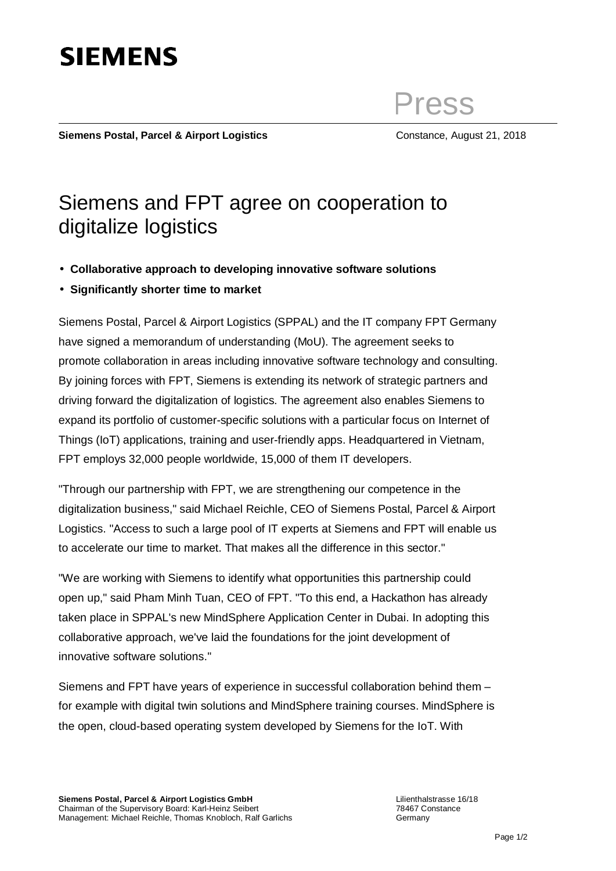

Lilienthalstrasse 16/18 78467 Constance **Germany** 

## Press

Siemens Postal, Parcel & Airport Logistics **Constance, August 21, 2018** 

## Siemens and FPT agree on cooperation to digitalize logistics

- **Collaborative approach to developing innovative software solutions**
- **Significantly shorter time to market**

Siemens Postal, Parcel & Airport Logistics (SPPAL) and the IT company FPT Germany have signed a memorandum of understanding (MoU). The agreement seeks to promote collaboration in areas including innovative software technology and consulting. By joining forces with FPT, Siemens is extending its network of strategic partners and driving forward the digitalization of logistics. The agreement also enables Siemens to expand its portfolio of customer-specific solutions with a particular focus on Internet of Things (IoT) applications, training and user-friendly apps. Headquartered in Vietnam, FPT employs 32,000 people worldwide, 15,000 of them IT developers.

"Through our partnership with FPT, we are strengthening our competence in the digitalization business," said Michael Reichle, CEO of Siemens Postal, Parcel & Airport Logistics. "Access to such a large pool of IT experts at Siemens and FPT will enable us to accelerate our time to market. That makes all the difference in this sector."

"We are working with Siemens to identify what opportunities this partnership could open up," said Pham Minh Tuan, CEO of FPT. "To this end, a Hackathon has already taken place in SPPAL's new MindSphere Application Center in Dubai. In adopting this collaborative approach, we've laid the foundations for the joint development of innovative software solutions."

Siemens and FPT have years of experience in successful collaboration behind them – for example with digital twin solutions and MindSphere training courses. MindSphere is the open, cloud-based operating system developed by Siemens for the IoT. With

## **SIEMENS**